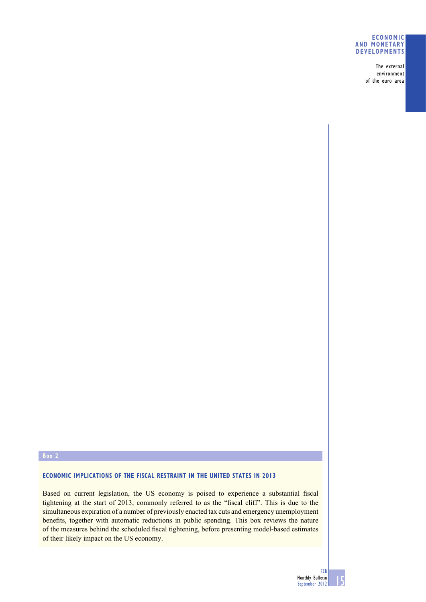## **ECONOMIC AND MONETARY DEVELOPMENTS**

The external environment of the euro area

### **Box 2**

# **ECONOMIC IMPLICATIONS OF THE FISCAL RESTRAINT IN THE UNITED STATES IN 2013**

Based on current legislation, the US economy is poised to experience a substantial fiscal tightening at the start of 2013, commonly referred to as the "fiscal cliff". This is due to the simultaneous expiration of a number of previously enacted tax cuts and emergency unemployment benefits, together with automatic reductions in public spending. This box reviews the nature of the measures behind the scheduled fiscal tightening, before presenting model-based estimates of their likely impact on the US economy.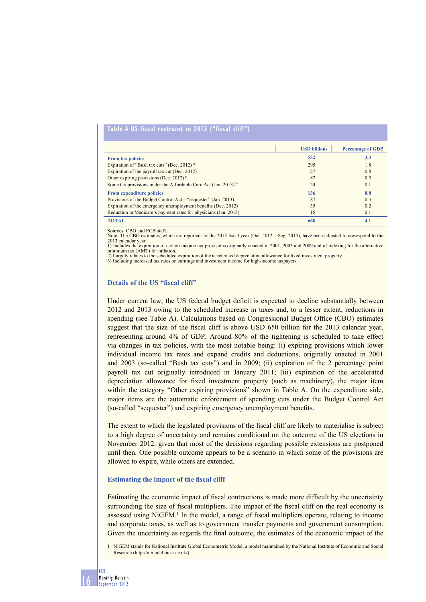|                                                                             | <b>USD billions</b> | <b>Percentage of GDP</b> |
|-----------------------------------------------------------------------------|---------------------|--------------------------|
| <b>From tax policies</b>                                                    | 532                 | 3.3                      |
| Expiration of "Bush tax cuts" (Dec. 2012) <sup>1)</sup>                     | 295                 | 1.8                      |
| Expiration of the payroll tax cut (Dec. 2012)                               | 127                 | 0.8                      |
| Other expiring provisions (Dec. 2012) <sup>2)</sup>                         | 87                  | 0.5                      |
| Some tax provisions under the Affordable Care Act (Jan. 2013) <sup>3)</sup> | 24                  | 0.1                      |
| <b>From expenditure policies</b>                                            | 136                 | 0.8                      |
| Provisions of the Budget Control Act – "sequester" (Jan. 2013)              | 87                  | 0.5                      |
| Expiration of the emergency unemployment benefits (Dec. 2012)               | 35                  | 0.2                      |
| Reduction in Medicare's payment rates for physicians (Jan. 2013)            | 15                  | 0.1                      |
| <b>TOTAL</b>                                                                | 668                 | 4.1                      |

Sources: CBO and ECB staff

Note: The CBO estimates, which are reported for the 2013 fiscal year (Oct.  $2012 -$  Sep. 2013), have been adjusted to correspond to the 2013 calendar year. 1) Includes the expiration of certain income tax provisions originally enacted in 2001, 2003 and 2009 and of indexing for the alternative minimum tax (AMT) for infl ation.

2) Largely relates to the scheduled expiration of the accelerated depreciation allowance for fixed investment property.<br>3) Including increased tax rates on earnings and investment income for high-income taxpayers.

### **Details of the US "fiscal cliff"**

Under current law, the US federal budget deficit is expected to decline substantially between 2012 and 2013 owing to the scheduled increase in taxes and, to a lesser extent, reductions in spending (see Table A). Calculations based on Congressional Budget Office (CBO) estimates suggest that the size of the fiscal cliff is above USD 650 billion for the 2013 calendar year, representing around 4% of GDP. Around 80% of the tightening is scheduled to take effect via changes in tax policies, with the most notable being: (i) expiring provisions which lower individual income tax rates and expand credits and deductions, originally enacted in 2001 and 2003 (so-called "Bush tax cuts") and in 2009; (ii) expiration of the 2 percentage point payroll tax cut originally introduced in January 2011; (iii) expiration of the accelerated depreciation allowance for fixed investment property (such as machinery), the major item within the category "Other expiring provisions" shown in Table A. On the expenditure side, major items are the automatic enforcement of spending cuts under the Budget Control Act (so-called "sequester") and expiring emergency unemployment benefits.

The extent to which the legislated provisions of the fiscal cliff are likely to materialise is subject to a high degree of uncertainty and remains conditional on the outcome of the US elections in November 2012, given that most of the decisions regarding possible extensions are postponed until then. One possible outcome appears to be a scenario in which some of the provisions are allowed to expire, while others are extended.

### **Estimating the impact of the fiscal cliff**

Estimating the economic impact of fiscal contractions is made more difficult by the uncertainty surrounding the size of fiscal multipliers. The impact of the fiscal cliff on the real economy is assessed using NiGEM.<sup>1</sup> In the model, a range of fiscal multipliers operate, relating to income and corporate taxes, as well as to government transfer payments and government consumption. Given the uncertainty as regards the final outcome, the estimates of the economic impact of the

1 NiGEM stands for National Institute Global Econometric Model, a model maintained by the National Institute of Economic and Social Research (http://nimodel.niesr.ac.uk/).

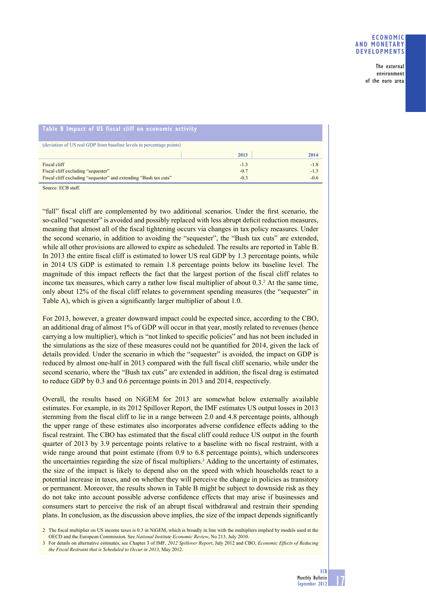The external environment of the euro area

| Table B Impact of US fiscal cliff on economic activity               |        |        |
|----------------------------------------------------------------------|--------|--------|
| (deviation of US real GDP from baseline levels in percentage points) |        |        |
|                                                                      | 2013   | 2014   |
| Fiscal cliff                                                         | $-1.3$ | $-1.8$ |
| Fiscal cliff excluding "sequester"                                   | $-0.7$ | $-1.3$ |
| Fiscal cliff excluding "sequester" and extending "Bush tax cuts"     | $-0.3$ | $-0.6$ |

Source: ECB staff.

"full" fiscal cliff are complemented by two additional scenarios. Under the first scenario, the so-called "sequester" is avoided and possibly replaced with less abrupt deficit reduction measures, meaning that almost all of the fiscal tightening occurs via changes in tax policy measures. Under the second scenario, in addition to avoiding the "sequester", the "Bush tax cuts" are extended, while all other provisions are allowed to expire as scheduled. The results are reported in Table B. In 2013 the entire fiscal cliff is estimated to lower US real GDP by  $1.3$  percentage points, while in 2014 US GDP is estimated to remain 1.8 percentage points below its baseline level. The magnitude of this impact reflects the fact that the largest portion of the fiscal cliff relates to income tax measures, which carry a rather low fiscal multiplier of about  $0.3<sup>2</sup>$ . At the same time, only about 12% of the fiscal cliff relates to government spending measures (the "sequester" in Table A), which is given a significantly larger multiplier of about 1.0.

For 2013, however, a greater downward impact could be expected since, according to the CBO, an additional drag of almost 1% of GDP will occur in that year, mostly related to revenues (hence carrying a low multiplier), which is "not linked to specific policies" and has not been included in the simulations as the size of these measures could not be quantified for 2014, given the lack of details provided. Under the scenario in which the "sequester" is avoided, the impact on GDP is reduced by almost one-half in 2013 compared with the full fiscal cliff scenario, while under the second scenario, where the "Bush tax cuts" are extended in addition, the fiscal drag is estimated to reduce GDP by 0.3 and 0.6 percentage points in 2013 and 2014, respectively.

Overall, the results based on NiGEM for 2013 are somewhat below externally available estimates. For example, in its 2012 Spillover Report, the IMF estimates US output losses in 2013 stemming from the fiscal cliff to lie in a range between 2.0 and 4.8 percentage points, although the upper range of these estimates also incorporates adverse confidence effects adding to the fiscal restraint. The CBO has estimated that the fiscal cliff could reduce US output in the fourth quarter of 2013 by 3.9 percentage points relative to a baseline with no fiscal restraint, with a wide range around that point estimate (from 0.9 to 6.8 percentage points), which underscores the uncertainties regarding the size of fiscal multipliers.<sup>3</sup> Adding to the uncertainty of estimates, the size of the impact is likely to depend also on the speed with which households react to a potential increase in taxes, and on whether they will perceive the change in policies as transitory or permanent. Moreover, the results shown in Table B might be subject to downside risk as they do not take into account possible adverse confidence effects that may arise if businesses and consumers start to perceive the risk of an abrupt fiscal withdrawal and restrain their spending plans. In conclusion, as the discussion above implies, the size of the impact depends significantly

<sup>2</sup> The fiscal multiplier on US income taxes is 0.3 in NiGEM, which is broadly in line with the multipliers implied by models used at the OECD and the European Commission. See *National Institute Economic Review*, No 213, July 2010.

<sup>3</sup> For details on alternative estimates, see Chapter 3 of IMF, *2012 Spillover Report*, July 2012 and CBO, *Economic Effects of Reducing the Fiscal Restraint that is Scheduled to Occur in 2013*, May 2012.